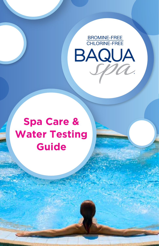

## **Spa Care & Spa Care & Water Testing<br>Guide Guide**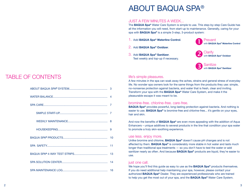### TABLE OF CONTENTS

ABOUT BAQUA SPA**®** SYSTEM................................................. 3

## ABOUT BAQUA SPA®

#### JUST A FEW MINUTES A WEEK...

The BAQUA Spa® Water Care System is simple to use. This step-by-step Care Guide has all the information you will need, from start-up to maintenance. Generally, caring for your spa with **BAQUA Spa®** is a simple 3-step, 3-product system:

- 1. Add BAQUA Spa® Waterline Control.
- 2. Add BAQUA Spa® Oxidizer.
- 3. Add BAQUA Spa® Sanitizer. Test weekly and top-up if necessary.



with BAQUA Spa**®** Waterline Control

Prevent



#### life's simple pleasures.

A few minutes in the spa can soak away the aches, strains and general stress of everyday life. No wonder spa owners look for the same things from the products they use: simple, no-nonsense protection against bacteria, and water that is fresh, clear and inviting. Transform your spa with the BAQUA Spa® Water Care System, and make it the pleasurable escape it was meant to be.

#### bromine-free. chlorine-free. care-free.

BAQUA Spa® provides powerful, long-lasting protection against bacteria. And nothing is easier to use. **BAQUA Spa®** is bromine-free and chlorine-free... it's gentle on your eyes, hair and skin.

And now the benefits of **BAQUA Spa®** are even more appealing with the addition of Aqua Enhancers – unique additives to several products in the line that condition your spa water to promote a truly skin-soothing experience.

#### use less. enjoy more.

Unlike bromine and chlorine, **BAQUA Spa®** doesn't cause pH changes and is not affected by them. **BAQUA Spa®** is considerably more stable in hot water and lasts much longer than traditional spa treatments — so you don't have to test the water or add sanitizer nearly as often. And because **BAQUA Spa®** products are liquid, they're easier to use.

#### just one call.

We hope you'll find this guide as easy to use as the **BAQUA Spa®** products themselves. If you do need additional help maintaining your spa, however, please contact your authorized BAQUA Spa® Dealer. They are experienced professionals who are trained to help you get the most out of your spa, and the **BAQUA Spa®** Water Care System.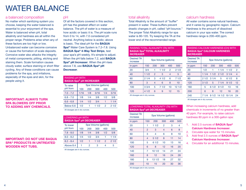### WATER BALANCE

#### a balanced composition

No matter which sanitizing system you choose, keeping the water balanced is essential to your enjoyment of the spa. Water is balanced when pH, total alkalinity and hardness are all within the proper range. Problems arise when any of these factors are too high or low. Unbalanced water can become corrosive or cause the formation of scale deposits. Corrosive water also attacks the integrity of metal components; pitting, etching and staining them. Scale formation causes cloudy water, surface staining or short filter cycling. Any of these conditions can cause problems for the spa, and irritations, especially of the eyes and skin, for the people using it.

#### IMPORTANT: ALWAYS TURN SPA BLOWERS OFF PRIOR TO ADDING ANY CHEMICALS.

IMPORTANT: DO NOT USE BAQUA SPA® PRODUCTS IN UNTREATED

WOODEN HOT TUBS.

#### pH

Of all the factors covered in this section, pH has the greatest effect on water balance. The pH of water is a measure of how acidic or basic it is. The pH scale runs from 0 to 14, with 7.0 considered pH neutral. Anything below is acidic; above is basic. The ideal pH for the BAQUA Spa® Water Care System is 7.2–7.8. Using BAQUA Spa® 4-Way Test Strips, test your spa's pH weekly. It's simple to adjust. When the pH falls below 7.2, add BAQUA Spa<sup>®</sup> pH Increaser. When the pH rises above 7.8, use BAQUA Spa® pH Decreaser.

| <b>RAISING pH WITH</b><br><b>BAQUA Spa® pH INCREASER</b> |      |     |      |               |      |  |
|----------------------------------------------------------|------|-----|------|---------------|------|--|
| Spa Volume (gallons)<br>To raise                         |      |     |      |               |      |  |
| pH from                                                  | 100  | 200 | 300  | 400           | 500  |  |
| $7.0 - 7.2$                                              | 1/16 | 1/8 | 3/16 | 1/4           | 5/16 |  |
| $6.8 - 7.0$                                              | 1/8  | 1/4 | 3/8  | 1/2           | 5/8  |  |
| $6.6 - 6.8$                                              | 1/4  | 1/2 | 3/4  |               | 11/4 |  |
| Below 6.6                                                | 1/2  | 1   | 11/2 | $\mathcal{P}$ | 21/2 |  |
| All decessor are in dry ourses                           |      |     |      |               |      |  |

All dosages are in dry ounces

| <b>LOWERING pH WITH</b><br><b>BAQUA Spa<sup>®</sup> pH DECREASER</b> |     |                      |      |               |      |  |
|----------------------------------------------------------------------|-----|----------------------|------|---------------|------|--|
| To lower                                                             |     | Spa Volume (gallons) |      |               |      |  |
| pH from                                                              | 100 | 200                  | 300  | 400           | 500  |  |
| $7.8 - 8.0$                                                          | 1/8 | 1/4                  | 3/8  | 1/2           | 5/8  |  |
| $8.0 - 8.2$                                                          | 1/4 | 1/2                  | 3/4  |               | 11/4 |  |
| $8.2 - 8.4$                                                          | 1/2 |                      | 11/2 | $\mathcal{P}$ | 21/2 |  |
| Above 8.4                                                            |     | 2                    | з    |               | 5    |  |

All dosages are in dry ounces.

#### total alkalinity

Total Alkalinity is the amount of "buffer'' present in water. These buffers prevent drastic changes in pH, called "pH bounce." The proper Total Alkalinity range for spa water is 80-120. Try keeping the TA at the lower end of the recommended range.

#### RAISING TOTAL ALKALINITY (TA) WITH BAQUA Spa® TOTAL ALKALINITY INCREASER

| <b>Desired TA</b><br>increase  | Spa Volume (gallons) |                |      |                |       |  |  |
|--------------------------------|----------------------|----------------|------|----------------|-------|--|--|
| in ppm                         | 150                  | 200            | 300  | 400            | 500   |  |  |
| 20                             | 3/4                  |                | 11/2 | $\overline{2}$ | 21/2  |  |  |
| 40                             | 11/2                 | $\overline{2}$ | 3    | 4              | 5     |  |  |
| 60                             | 21/4                 | 3              | 41/2 | 6              | 71/2  |  |  |
| 80                             | 3                    | $\overline{4}$ | 6    | 8              | 10    |  |  |
| 100                            | 33/4                 | 5              | 71/2 | 10             | 121/2 |  |  |
| 120                            | 41/2                 | 6              | 9    | 12             | 15    |  |  |
| All dosages are in dry ounces. |                      |                |      |                |       |  |  |

#### LOWERING TOTAL ALKALINITY (TA) WITH BAQUA Spa® pH DECREASER

| <b>Desired TA</b><br>increase | Spa Volume (gallons) |       |                |     |     |
|-------------------------------|----------------------|-------|----------------|-----|-----|
| in ppm                        | 150                  | 200   | 300            | 400 | 500 |
| 20                            | 1                    | 11/2  | $\overline{2}$ | 3   | 4   |
| 40                            | $\overline{2}$       | 3     | 4              | 6   | 8   |
| 60                            | 3                    | 4     | 6              | 8   | 10  |
| 80                            | 4                    | 51/2  | 8              | 11  | 14  |
| 100                           | 5                    | 61/2  | 10             | 13  | 16  |
| 120                           | 6                    | 8     | 12             | 16  | 20  |
| 140                           | 7                    | 101/2 | 14             | 21  | 24  |
| 160                           | 8                    | 12    | 16             | 24  | 28  |
| 180                           | 9                    | 131/2 | 18             | 27  | 32  |
| 200                           | 10                   | 15    | 20             | 30  | 36  |

All dosages are in dry ounces.

#### calcium hardness

All water contains some natural hardness, and it varies by geographic region. Calcium Hardness is the amount of dissolved calcium in your spa water. The correct hardness range is 200–400 ppm.

#### RAISING CALCIUM HARDNESS (CH) WITH BAQUA Spa® CALCIUM HARDNESS INCREASER

| <b>Desired TA</b><br>increase | Spa Volume (gallons) |                |                     |      |                |
|-------------------------------|----------------------|----------------|---------------------|------|----------------|
| in ppm                        | 150                  | 200            | 300                 | 400  | 500            |
| 20                            | 1/2                  |                | 11/4                | 11/2 | $\overline{2}$ |
| 40                            | 11/4                 |                | $11/2$ $21/2$       | 31/4 | $\overline{4}$ |
| 80                            |                      | $21/2$ 3 $1/4$ | 5                   | 61/2 | 8              |
| 120                           | 31/2                 | 5              | 71/4                | 91/2 | 12             |
| 160                           | 5                    |                | 6 1/2 9 1/2         | 13   | 16             |
| 200                           | 6                    | 8              | 12                  | 16   | 20             |
| 240                           | 7 1/4                |                | 9 1/2 14 1/2 19 1/4 |      | 24             |

All dosages are in dry ounces.

When increasing calcium hardness, add chemicals in increments of no greater than 40 ppm. For example, to raise calcium hardness 80 ppm in a 300-gallon spa:

- 1. Add 2.5 ounces of **BAQUA Spa<sup>®</sup>** Calcium Hardness Increaser.
- 2. Circulate spa water for 15 minutes.
- 3. Add final 2.5 ounces of BAQUA Spa® Calcium Hardness Increaser.
- 4. Circulate for an additional 15 minutes.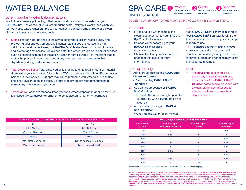# WATER BALANCE

#### other important water balance factors

In addition to weekly pH testing, other water conditions should be tested by your BAQUA Spa® Dealer, though on a less frequent basis. Every four weeks, and when you refill your spa, take a water sample to your dealer in a Water Sample Bottle or a clean, plastic container, for the following tests:

- Metals Proper water balance is the key to achieving excellent water quality and protecting your spa equipment (shell, heater, etc.). If you are located in a high calcium or metal content area, use **BAQUA Spa® Metal Control** to control metals and protect against scaling. Metals can enter the water through corrosion of surfaces such as heating elements in the spa's heater or from fill water. It is important that no metals be present in your spa water at any time, as they can cause sanitizer depletion, staining or discolored water.
- Total Dissolved Solids Total dissolved solids, or TDS, is the total amount of material dissolved in your spa water. Although the TDS concentration has little effect on water balance, a level above 2,000 ppm may cause problems with water clarity, sanitizer efficiency, eye irritation and taste. Be sure to follow dealer recommendations to correct any imbalances in your spa.
- Temperature For health reasons, keep your spa water temperature at or below 104°F. It is especially dangerous for children to be subjected to higher temperatures.

| SUMMARY OF RECOMMENDED RANGES FOR WATER BALANCE FACTORS |  |  |  |  |  |
|---------------------------------------------------------|--|--|--|--|--|
| $7.2 - 7.8$                                             |  |  |  |  |  |
| 80 - 120 ppm                                            |  |  |  |  |  |
| $200 - 400$ ppm                                         |  |  |  |  |  |
| <b>None</b>                                             |  |  |  |  |  |
| Not to exceed 2,000 ppm                                 |  |  |  |  |  |
| Not to exceed 104°F                                     |  |  |  |  |  |
|                                                         |  |  |  |  |  |

#### SPA CARE <sup>D Prevent</sup> with BAQUA Spa**®** Waterline Control Clarify with BAQUA Spa**® Oxidizer**

SIMPLE START-UP

TO GET YOUR SPA OFF TO THE RIGHT START, FOLLOW THESE SIMPLE STEPS.

#### important

- Fill spa, take a water sample (in a clean, plastic bottle) to your BAQUA Spa® Dealer for analysis.
- Balance water according to your BAQUA Spa® Dealer's recommendations.
- Chemically clean your filter (refer to page 9 of this guide for more information).

#### start-up dosage

- 1. Add start up dosage of **BAQUA Spa**<sup>®</sup> Waterline Control.
	- Prior to adding **BAQUA Spa®** Sanitizer.\*
- 2. Add a start up dosage of BAQUA Spa® Oxidizer.
	- Circulate the water on high speed for 15 minutes, with blowers off–do not inject air.
- 3. Add a start-up dosage of BAQUA Spa® Sanitizer.
	- Circulate the water for 15 minutes.

#### test

Use a BAQUA Spa® 4-Way Test Strip to test BAQUA Spa® Sanitizer level. If the level is between 30 and 50 ppm, your spa is ready to use.

Sanitize with BAQUA Spa**®** Sanitizer

TIP: To ensure accurate testing, always store your test strips in a cool, well ventilated area. Always keep the lid sealed. Incorrect storage and handling may result in inaccurate readings.

#### NOTE:

- The measuring cup should be thoroughly rinsed after each use.
- The outside of the **BAQUA Spa® Oxidizer** bottle should be wiped with a clean, damp cloth after use to remove any liquid that may have dripped onto it.

| <b>BAQUA Spa® START-UP DOSAGE CHART</b> |                                               |                                      |                                       |  |  |  |  |  |
|-----------------------------------------|-----------------------------------------------|--------------------------------------|---------------------------------------|--|--|--|--|--|
| Spa Volume<br>(gallons)                 | <b>BAQUA Spa®</b><br><b>Waterline Control</b> | <b>BAQUA Spa®</b><br><b>Oxidizer</b> | <b>BAQUA Spa®</b><br><b>Sanitizer</b> |  |  |  |  |  |
| 100                                     |                                               | $\overline{2}$                       | 2/3                                   |  |  |  |  |  |
| 150                                     | 11/2                                          | 3                                    |                                       |  |  |  |  |  |
| 200                                     | $\overline{2}$                                | 4                                    | 11/4                                  |  |  |  |  |  |
| 250                                     | 21/2                                          | 5                                    | 11/2                                  |  |  |  |  |  |
| 300                                     | 3                                             | 6                                    | 13/4                                  |  |  |  |  |  |
| 350                                     | 31/2                                          | 7                                    | 2                                     |  |  |  |  |  |
| 400                                     | 4                                             | 8                                    | 21/2                                  |  |  |  |  |  |
| 450                                     | 41/2                                          | 9                                    | 23/4                                  |  |  |  |  |  |
| 500                                     | 5                                             | 10                                   | 3                                     |  |  |  |  |  |

All measurements are in liquid ounces. See your dealer for a special 3-oz. measuring cup.

6 and the contract of property contract the contract of property, and the contract of measure of the contract of  $7\,$ \*NOTE: Chemicals can be added to either cold or hot water. If water temperature is cold, the addition of BAQUA Spa® Waterline Control may cause a temporary cloudy condition. Once the temperature reaches normal spa levels (98–104˚F), the cloudiness will disappear. BAQUA Spa® Sanitizer will react with some impurities in the water to form insoluble particles. Within the small environment of a spa, these insolubles may be deposited on the spa shell, especially at initial start-up. This "bathtub ring" will vary depending on the quality of the fill water, and usually appears as yellow/brown, sticky deposits. Wipe affected areas clean with BAQUA Spa® Surface Cleaner. When used properly, BAQUA Spa® Waterline Control will eliminate deposits from forming on the spa shell.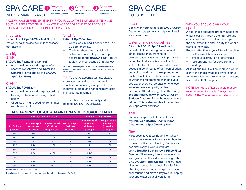#### SPA CARE <sup>D Prevent</sup> WEEKIY MAINTENANCE with BAQUA Spa**®** Waterline Control Clarify with BAQUA Spa**® Oxidizer** Sanitize with BAQUA Spa**®** Sanitizer

A CLEAR, HASSLE-FREE SPA IS EASY IF YOU FOLLOW THIS SIMPLE MAINTENANCE ROUTINE. REFER TO TOP-UP & MAINTENANCE DOSAGE CHART FOR DOSAGE RECOMMENDATIONS ACCORDING TO SPA VOLUME.

#### important

#### Use a BAQUA Spa® 4-Way Test Strip to

test water balance and adjust if necessary† (see page 4).

#### weekly STEP 1.

#### BAQUA Spa® Waterline Control

• Add a maintenance dosage – refer to chart below (Always add Waterline Control prior to adding the BAQUA Spa® Sanitizer).

#### STEP 2.

#### BAQUA Spa® Oxidizer

- Add a maintenance dosage according to usage rate (refer to dosage chart below).
- Circulate on high speed for 15 minutes with blowers off.

### STEP 3.

#### BAQUA Spa® Sanitizer

- Check weekly and if needed top up if 30 ppm or below.
- The level should be maintained between 30 and 50 ppm. Top-up according to the BAQUA Spa® Top-Up & Maintenance Dosage Chart below.

<sup>†</sup>If using an ozonator, test your **BAQUA Spa® Sanitizer** level every four days and top-up as necessary to maintain a level of 30–50 ppm.

TIP: To ensure accurate testing, always store your test strips in a cool, well ventilated area. Always keep the lid sealed. Incorrect storage and handling may result in inaccurate readings.

Test sanitizer weekly and only add if needed. DO NOT OVERDOSE.

### BAQUA SPA® TOP-UP & MAINTENANCE DOSAGE CHART

|                         | <b>WEEKLY/MAINTENANCE</b>                               | <b>TEST &amp; ADD AS NEEDED</b>                            |                                                   |                                                                      |                                                                         |
|-------------------------|---------------------------------------------------------|------------------------------------------------------------|---------------------------------------------------|----------------------------------------------------------------------|-------------------------------------------------------------------------|
| Spa Volume<br>(gallons) | <b>BAQUA Spa®</b><br><b>Waterline</b><br><b>Control</b> | <b>BAQUA Spa®</b><br><b>Oxidizer</b><br><b>Regular Use</b> | <b>BAQUA Spa®</b><br><b>Oxidizer</b><br>High Use* | <b>BAQUA Spa®</b><br><b>Sanitizer</b><br>(If level is<br>$16-30ppm)$ | <b>BAQUA Spa®</b><br><b>Sanitizer</b><br>(If level is<br>$0-15$ ppm $)$ |
| 100                     | 1/2                                                     |                                                            | $\overline{2}$                                    | 1/3                                                                  | 2/3                                                                     |
| 150                     | 3/4                                                     | 11/2                                                       | 3                                                 | 1/2                                                                  |                                                                         |
| 200                     |                                                         | 2                                                          | $\overline{4}$                                    | 2/3                                                                  | 11/4                                                                    |
| 250                     | 11/4                                                    | 21/2                                                       | 5                                                 |                                                                      | 11/2                                                                    |
| 300                     | 11/2                                                    | 3                                                          | 6                                                 |                                                                      | 13/4                                                                    |
| 350                     | 13/4                                                    | 31/2                                                       | 7                                                 | 11/3                                                                 | 2                                                                       |
| 400                     | $\overline{2}$                                          | $\overline{4}$                                             | 8                                                 | 11/3                                                                 | 21/2                                                                    |
| 450                     | 21/4                                                    | 41/2                                                       | 9                                                 | 11/2                                                                 | 23/4                                                                    |
| 500                     | 21/2                                                    | 5                                                          | 10                                                | 11/2                                                                 | 3                                                                       |

All measurements are in liquid ounces.

\*If spa is used three or more times per week, use the high-use dosage rate for Oxidizer.

### SPA CARE HOUSEKEEPING

#### cover

Speak with your authorized **BAQUA Spa®** Dealer for suggestions and tips on keeping your cover clean.

#### water changing guidelines

Although BAQUA Spa® Sanitizer is persistent at controlling bacteria, and longer lasting than bromine-or chlorine-based systems, it's important to remember that a spa is a small body of water. Continual use means bathers will deposit large amounts of dirt, perspiration, body oils, deodorant, makeup and other contaminants into a relatively small volume of water. We recommend changing your spa water every 60–90 days or whenever an extreme water quality problem develops. After draining, clean the empty spa shell thoroughly with **BAQUA Spa® Surface Cleaner.** Rinse thoroughly before refilling. This is also an ideal time to clean your spa cover and filter.

#### shell

Clean your spa shell at the waterline regularly with BAQUA Spa® Surface Cleaner and a Spa Cleaning Pad.

#### filter

Most spas have a cartridge filter. Check your owner's manual for details on how to remove the filter for cleaning. Clean your spa filter every 4 weeks with fastacting BAQUA Spa® Spray & Rinse Filter Cleaner. Then every time you drain your spa, give your filter a deep cleaning with BAQUA Spa® Filter Cleaner. Follow label directions on each product. Regular filter cleaning is an important step in your spa care routine and plays a key role in keeping your spa water clear all year long.

#### why you should clean your spa filter.

A filter that's operating properly keeps the water clear by trapping the hair, oils and cosmetics that wash off when people use the spa. When the filter is dirty this debris stays in the water.

- Regular attention to your filter will result in:
- better circulation in your spa.
- effective distribution of chemicals,
- less opportunity for corrosion and scaling.

All in all, the result will be improved water clarity and that's what spa owners strive for all year long – so remember to give your filter a little TLC this year.

NOTE: Do not use filter cleaners that are recommended for pools. Always use a BAQUA Spa® recommended filter cleaner.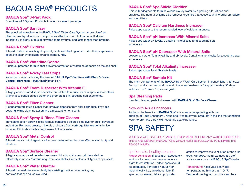# BAQUA SPA**®** PRODUCTS

#### BAQUA Spa® 3-Part Pack

Combines all 3 System Products in one convenient package.

#### BAQUA Spa® Sanitizer

The principal ingredient in the **BAQUA Spa®** Water Care System. A bromine-free, chlorine-free liquid sanitizer that provides effective control of bacteria. It stores indefinitely, is highly stable at elevated temperatures, and lasts longer than bromine.

#### BAQUA Spa® Oxidizer

A liquid oxidizer consisting of specially stabilized hydrogen peroxide. Keeps spa water sparkling clear by oxidizing organic compounds.

#### BAQUA Spa® Waterline Control

A unique, patented formula that prevents formation of waterline deposits on the spa shell.

#### BAQUA Spa® 4-Way Test Strips

Water test strips for testing the level of **BAQUA Spa® Sanitizer with Stain & Scale** Control, Hardness, Total Alkalinity and pH.

#### BAQUA Spa® Foam Disperser With Vitamin E

A highly concentrated liquid specially formulated to reduce foam in spas. Also contains vitamin E to condition spa water and promote a skin-soothing spa experience.

#### BAQUA Spa® Filter Cleaner

A concentrated liquid cleaner that removes deposits from filter cartridges. Provides powerful citrus cleaning action and a pleasant lemon scent.

#### BAQUA Spa® Spray & Rinse Filter Cleaner

Immediate action spray & rinse formula contains a colored blue dye for quick coverage indication. Removes grease, minerals and scale from cartridge filter elements in five minutes. Eliminates the leading cause of cloudy water.

#### BAQUA Spa® Metal Control

A liquid metal control agent used to deactivate metals that can affect water clarity and filtration.

#### BAQUA Spa® Surface Cleaner

A highly concentrated gel which removes dirt, oils, stains, etc. at the waterline. Effectively removes "bathtub ring" from spa shells. Safely cleans all types of spa shells.

#### BAQUA Spa® Water Clarifier

A liquid that restores water clarity by assisting the filter in removing tiny particles that can cause clouding.

#### BAQUA Spa® Spa Shield Clarifier

Unique biodegradable formula cleans cloudy water by digesting oils, lotions and organics. The natural enzyme also removes organics that cause scumline build-up, odors and clog filters.

#### BAQUA Spa® Calcium Hardness Increaser

Raises spa water to the recommended level of calcium hardness.

#### BAQUA Spa® pH Increaser With Mineral Salts

Raises spa water pH levels. Contains mineral salts for a soothing spa experience.

#### BAQUA Spa® pH Decreaser With Mineral Salts

Lowers spa water Total Alkalinity and pH levels. Contains mineral salts for a soothing spa experience.

#### BAQUA Spa® Total Alkalinity Increaser

Raises spa water Total Alkalinity levels.

#### BAQUA Spa® Sample Kit

The main components of the **BAQUA Spa®** Water Care System in convenient "trial" sizes. Enough product to treat and maintain the average-size spa for approximately 30 days. Includes free "how to" spa care guide.

#### Spa Cleaning Pads

Handled cleaning pads to be used with **BAQUA Spa® Surface Cleaner**.

#### Now with Aqua Enhancers

And now the benefits of **BAQUA Spa®** are even more appealing with the addition of Aqua Enhancers unique additives to several products in the line that condition water to promote a truly skin-soothing spa experience.

### SPA SAFETY

YOUR SPA WILL GIVE YOU YEARS OF ENJOYMENT, YET LIKE ANY WATER RECREATION. THERE ARE CERTAIN PRECAUTIONS WHICH MUST BE FOLLOWED TO MINIMIZE THE RISK OF INJURY.

#### tips for safe, healthy spa use

Proper Ventilation: If spas are inadequately ventilated, some users may experience slight throat irritation. Indoor spas should be adequately ventilated naturally or mechanically (i.e., an exhaust fan). If symptoms develop, take appropriate

action to improve the ventilation of the area (open windows, install exhaust fan, etc.) and/or see your local **BAQUA Spa®** dealer.

Temperature: Keep your spa water temperature no higher than 104°F. Temperatures higher than this can place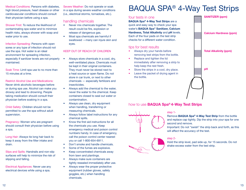Medical Conditions: Persons with diabetes, high blood pressure, heart disease or other cardiovascular conditions should consult their physician before using a spa.

Shower First: To reduce the likelihood of contaminating spa water and to minimize health risks, always shower with soap and water prior to use.

Infection Spreading: Persons with open sores or any type of infection should not use the spa. Hot water is an ideal environment for spreading infection, especially if sanitizer levels are not properly maintained.

Soak Time: Limit spa use to no more than 15 minutes at a time.

Restrict Alcohol Use and Medications: Never drink alcoholic beverages before or during spa use. Alcohol can make you drowsy and lead to drowning. People taking medication should consult their physician before soaking in a spa.

Child Safety: Children should not be permitted to use the spa without adult supervision.

Pregnancy: Women who are pregnant should consult their physician before using a spa.

Long Hair: Always tie long hair back to keep it away from the filter intake and drain.

Slips and Spills: Handrails and non-slip surfaces will help to minimize the risk of slipping and falling.

Electrical Appliances: Never use any electrical devices while using a spa.

Severe Weather: Do not operate or soak in a spa during severe weather conditions (i.e., electrical storms, tornadoes, etc.).

#### handling chemicals

- Never mix chemicals together. The result could be fire, explosion or release of dangerous gas.
- Most spa chemicals are harmful if swallowed —many can injure skin and eyes.

#### KEEP OUT OF REACH OF CHILDREN

- Always store chemicals in a cool, dry, well-ventilated place. Chemicals must be kept in their original containers. They must never be stored next to a heat source or open flame. Do not store in car trunk, or next to other chemicals — especially fertilizers and insecticides.
- Always add the chemical to the water, never the water to the chemical. Keep containers closed to seal out water or contamination.
- Always use clean, dry equipment when handling, transferring or measuring chemicals.
- Always follow label instructions for any chemical spills.
- Know the first aid instructions for all the chemicals you use. Keep emergency medical and poison control numbers handy. In case of emergency, call the poison control center nearest you or call 1-800-654-6911.
- Don't smoke and handle chemicals.
- Some of the fumes are explosive.
- Keep concentrated chemicals away from lawn and plantings.
- Always make sure containers are tightly resealed immediately after use.
- Always wear the proper protective equipment (rubber gloves, safety goggles, etc.) when handling chemicals.

# BAQUA SPA® 4-Way Test Strips

#### four tests in one

BAQUA Spa® 4-Way Test Strips are a quick and easy way to check your spa water's BAQUA Spa® Sanitizer, Calcium Hardness, Total Alkalinity and pH levels. Each of the four pads on the test strip checks for a different water condition.

#### tips for best results

- Always dry your hands before removing test strips from the bottle.
- Replace and tighten the lid immediately after removing a strip to help keep the rest fresh.
- Store the strips in a cool, dry place.
- Leave the packet of drying agent in the bottle.



#### how to use **BAQUA Spa®4-Way Test Strips**



#### step 1-

Remove **BAQUA Spa® 4-Way Test Strip** from the bottle and replace cap tightly. Dip the strip into your spa for one second and remove.

Important: Do not "swish" the strip back and forth, as this will affect the accuracy of the test.

#### step 2-

Hold the strip level, pad side up, for 15 seconds. Do not shake excess water from the test strip.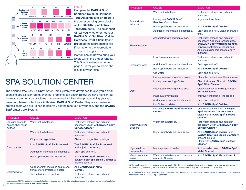

step 3-

Compare the BAQUA Spa® Sanitizer, Calcium Hardness, Total Alkalinity and pH pads to the corresponding color blocks on the BAQUA Spa® 4-Way Test Strip bottle. The color chart will tell you whether or not your BAQUA Spa® Sanitizer, Calcium Hardness, Total Alkalinity and pH are at the appropriate levels. If not, refer to the appropriate section in this guide for instructions on how to bring your levels within the proper ranges. This Spa Maintenance Log on page 16 is for you to record the results of your tests.

# SPA SOLUTION CENTER

The chlorine-free **BAQUA Spa®** Water Care System was developed to give you a clear, sparkling spa all year round. Even so, problems can occur. Below we have highlighted the most common spa problems. If you do need additional help maintaining your spa, however, please contact your Authorized **BAQUA Spa®** Dealer. They are experienced professionals who are trained to help you get the most out of your spa, and the **BAQUA** Spa® Water Care System.

| <b>PROBLEM</b>                                    | <b>CAUSE</b>                                                              | <b>SOLUTION</b>                                                                                                            |  |
|---------------------------------------------------|---------------------------------------------------------------------------|----------------------------------------------------------------------------------------------------------------------------|--|
| Calcium deposits<br>on spa shell rough<br>surface | Water not in balance.                                                     | Test water balance and adjust if<br>necessary. Clean with <b>BAQUA Spa®</b><br><b>Surface Cleaner.</b>                     |  |
|                                                   | Water not in balance.                                                     | Test water balance and adjust if<br>necessary.                                                                             |  |
| Cloudy water                                      | Dirty or damaged filter.                                                  | Clean or change filter cartridge*.                                                                                         |  |
|                                                   | Low BAQUA Spa <sup>®</sup> Sanitizer level.                               | Test <b>BAQUA Spa<sup>®</sup> Sanitizer</b> level<br>and adjust if necessary.                                              |  |
|                                                   | Addition of incompatible chemicals.                                       | Drain spa and refill.                                                                                                      |  |
|                                                   | Build-up of body oils, impurities.                                        | Add <b>BAQUA Spa<sup>®</sup> Oxidizer</b> and<br><b>BAQUA Spa<sup>®</sup> Spa Shield Clarifier to</b><br>prevent build up. |  |
| <b>Colored water</b>                              | Copper or iron metals in spa due to<br>fill water or corrosion of heater. | Add <b>BAQUA Spa<sup>®</sup> Metal</b><br>Control.                                                                         |  |
|                                                   | Total alkalinity, pH are low.                                             | Test water balance and adjust if<br>necessary.                                                                             |  |

PROBLEM CAUSE CAUSE CAUSE SOLUTION Eye and skin irritation Water not in balance. Test water balance and adjust if necessary. Inadequate BAQUA Spa® Sanitizer Control level. Adjust sanitizer level. Build-up of body oils, impurities. Add **BAQUA Spa® Oxidizer.** Addition of incompatible chemicals. Drain spa and refill. Clean or change filter. Throat irritation Associated with aeration of spa. Test water balance and adjust if necessary. Add maintenance dose of BAQUA Spa® Waterline Control. Improve ventilation of indoor spa. Adjust calcium hardness to above 300 ppm. Excessive foam Low Calcium hardness. Test water balance and adjust if necessary. Addition of incompatible chemicals. Drain spa and refill. Build-up of body oils, impurities. Add **BAQUA Spa® Oxidizer.** Old water. **Drain spa and refill. Odor** Inadequate cleaning of spa cover. Clean the underside of the spa cover. Inadequate cleaning of filter. Chemically clean filter with **BAQUA** Spa® Filter Cleaner\*. Inadequate cleaning of spa shell. Clean spa shell with **BAQUA Spa®** Surface Cleaner. Inadequate ventilation. Improve ventilation of indoor spa. Addition of incompatible chemicals. Drain spa and refill. Insufficient oxidation. Add BAQUA Spa® Oxidizer. Sticky waterline deposits Not using **BAQUA Spa<sup>®</sup> Waterline** Control. Use maintenance dose of BAQUA Spa® Waterline Control weekly. Clean with BAQUA Spa® Surface Cleaner. Water not in balance. Test water balance and adjust if necessary. Clean with BAQUA Spa® Surface Cleaner. Build-up of body oils, impurities. Add **BAQUA Spa<sup>®</sup> Oxidizer** and BAQUA Spa® Spa Shield Clarifier to prevent build up. Clean with BAQUA Spa® Surface Cleaner. High sanitizer consumption Metals present in water. Add remedial dose of **BAQUA Spa**® Metal Control. Metal present in water Water not in balance and corrosive metals in fill water. Add BAQUA Spa® Metal Control.

NOTE: Most water chemistry problems can be resolved by the recommended solutions above. Extreme chemical conditions may warrant draining and refilling the spa. Stains or calcium deposits on the spa may require attention prior to refilling.

\*A degreaser/TSP (tri sodium phosphate) should not be used during the filter cleaning process as products containing phosphates are incompatible with the BAQUA Spa® Sanitizer.

14 are modification with the brack oper cannable. (and the contract). \*A degreaser/TSP (tri sodium phosphate) should not be used during the filter cleaning process as products containing phosphates are incompatible with the **BAQUA Spa® Sanitizer**.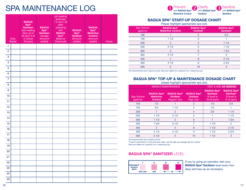### SPA MAINTENANCE LOG

|                | Date<br><b>Tested</b> | <b>BAQUA</b><br>Spa <sup>®</sup><br><b>Sanitizer</b><br>test reading<br>(Top-up to<br>50 ppm if at<br>or below<br>30 ppm) | <b>BAQUA</b><br>$Spa^{\circledcirc}$<br><b>Sanitizer</b><br>dosage<br>(Amount<br>added) | pH reading<br>(between<br>$7.\overline{2}$ and $7.\overline{8}$ )<br>after<br>adjusting<br>with<br><b>BAQUA</b><br>Spa <sup>®</sup><br><b>Balance</b><br><b>Chemicals</b> | <b>BAQUA</b><br>Spa <sup>®</sup><br><b>Oxidizer</b><br>(Amount<br>added) | <b>BAQUA</b><br>$Spa^{\circledcirc}$<br><b>Waterline</b><br><b>Control</b><br>(Amount<br>added) | <b>Notes</b> |
|----------------|-----------------------|---------------------------------------------------------------------------------------------------------------------------|-----------------------------------------------------------------------------------------|---------------------------------------------------------------------------------------------------------------------------------------------------------------------------|--------------------------------------------------------------------------|-------------------------------------------------------------------------------------------------|--------------|
| 1              |                       |                                                                                                                           |                                                                                         |                                                                                                                                                                           |                                                                          |                                                                                                 |              |
| $\overline{c}$ |                       |                                                                                                                           |                                                                                         |                                                                                                                                                                           |                                                                          |                                                                                                 |              |
| 3              |                       |                                                                                                                           |                                                                                         |                                                                                                                                                                           |                                                                          |                                                                                                 |              |
| 4              |                       |                                                                                                                           |                                                                                         |                                                                                                                                                                           |                                                                          |                                                                                                 |              |
| 5              |                       |                                                                                                                           |                                                                                         |                                                                                                                                                                           |                                                                          |                                                                                                 |              |
| 6              |                       |                                                                                                                           |                                                                                         |                                                                                                                                                                           |                                                                          |                                                                                                 |              |
| $\overline{7}$ |                       |                                                                                                                           |                                                                                         |                                                                                                                                                                           |                                                                          |                                                                                                 |              |
| 8              |                       |                                                                                                                           |                                                                                         |                                                                                                                                                                           |                                                                          |                                                                                                 |              |
| 9              |                       |                                                                                                                           |                                                                                         |                                                                                                                                                                           |                                                                          |                                                                                                 |              |
| 10             |                       |                                                                                                                           |                                                                                         |                                                                                                                                                                           |                                                                          |                                                                                                 |              |
| 11             |                       |                                                                                                                           |                                                                                         |                                                                                                                                                                           |                                                                          |                                                                                                 |              |
| 12             |                       |                                                                                                                           |                                                                                         |                                                                                                                                                                           |                                                                          |                                                                                                 |              |
| 13             |                       |                                                                                                                           |                                                                                         |                                                                                                                                                                           |                                                                          |                                                                                                 |              |
| 14             |                       |                                                                                                                           |                                                                                         |                                                                                                                                                                           |                                                                          |                                                                                                 |              |
| 15             |                       |                                                                                                                           |                                                                                         |                                                                                                                                                                           |                                                                          |                                                                                                 |              |
| 16             |                       |                                                                                                                           |                                                                                         |                                                                                                                                                                           |                                                                          |                                                                                                 |              |
| 17             |                       |                                                                                                                           |                                                                                         |                                                                                                                                                                           |                                                                          |                                                                                                 |              |
| 18             |                       |                                                                                                                           |                                                                                         |                                                                                                                                                                           |                                                                          |                                                                                                 |              |
| 19             |                       |                                                                                                                           |                                                                                         |                                                                                                                                                                           |                                                                          |                                                                                                 |              |
| 20             |                       |                                                                                                                           |                                                                                         |                                                                                                                                                                           |                                                                          |                                                                                                 |              |
| 21             |                       |                                                                                                                           |                                                                                         |                                                                                                                                                                           |                                                                          |                                                                                                 |              |
| 22             |                       |                                                                                                                           |                                                                                         |                                                                                                                                                                           |                                                                          |                                                                                                 |              |
| 23             |                       |                                                                                                                           |                                                                                         |                                                                                                                                                                           |                                                                          |                                                                                                 |              |
| 24             |                       |                                                                                                                           |                                                                                         |                                                                                                                                                                           |                                                                          |                                                                                                 |              |
| 25             |                       |                                                                                                                           |                                                                                         |                                                                                                                                                                           |                                                                          |                                                                                                 |              |

Prevent with BAQUA Spa**®** Waterline Control **Clarity** with BAQUA Spa**® Oxidizer** Sanitize with BAQUA Spa**®** Sanitizer

#### BAQUA SPA® START-UP DOSAGE CHART

Please highlight appropriate spa size.

| Spa Volume<br>(gallons) | <b>BAQUA Spa®</b><br><b>Waterline Control</b> | <b>BAQUA Spa®</b><br><b>Oxidizer</b> | <b>BAQUA Spa®</b><br><b>Sanitizer</b> |
|-------------------------|-----------------------------------------------|--------------------------------------|---------------------------------------|
| 100                     |                                               | $\overline{2}$                       | 2/3                                   |
| 150                     | 11/2                                          | 3                                    |                                       |
| 200                     | 2                                             | 4                                    | 11/4                                  |
| 250                     | 21/2                                          | 5                                    | 11/2                                  |
| 300                     | 3                                             | 6                                    | 13/4                                  |
| 350                     | 31/2                                          |                                      | $\mathcal{P}$                         |
| 400                     |                                               | 8                                    | 21/2                                  |
| 450                     | 41/2                                          | 9                                    | 23/4                                  |
| 500                     | 5                                             | 10                                   | 3                                     |

All measurements are in liquid ounces. See your dealer for a special 3-oz. measuring cup.

### BAQUA SPA® TOP-UP & MAINTENANCE DOSAGE CHART

|  | please highlight appropriate spa size. |  |
|--|----------------------------------------|--|
|  |                                        |  |

|                         | <b>WEEKLY/MAINTENANCE</b>                               | <b>TEST &amp; ADD AS NEEDED</b>                            |                                                   |                                                                     |                                                                      |
|-------------------------|---------------------------------------------------------|------------------------------------------------------------|---------------------------------------------------|---------------------------------------------------------------------|----------------------------------------------------------------------|
| Spa Volume<br>(gallons) | <b>BAQUA Spa®</b><br><b>Waterline</b><br><b>Control</b> | <b>BAQUA Spa®</b><br><b>Oxidizer</b><br><b>Regular Use</b> | <b>BAQUA Spa®</b><br><b>Oxidizer</b><br>High Use* | <b>BAQUA Spa®</b><br><b>Sanitizer</b><br>(If level is<br>16-30 ppm) | <b>BAQUA Spa®</b><br><b>Sanitizer</b><br>(If level is<br>$0-15$ ppm) |
| 100                     | 1/2                                                     |                                                            | $\overline{2}$                                    | 1/3                                                                 | 2/3                                                                  |
| 150                     | 3/4                                                     | 11/2                                                       | 3                                                 | 1/2                                                                 |                                                                      |
| 200                     |                                                         | $\mathcal{P}$                                              | $\overline{4}$                                    | 2/3                                                                 | 11/4                                                                 |
| 250                     | 11/4                                                    | 21/2                                                       | 5                                                 |                                                                     | 11/2                                                                 |
| 300                     | 11/2                                                    | 3                                                          | 6                                                 | 1                                                                   | 13/4                                                                 |
| 350                     | 13/4                                                    | 31/2                                                       | 7                                                 | 11/3                                                                | $\overline{2}$                                                       |
| 400                     | $\mathfrak{p}$                                          | 4                                                          | 8                                                 | 11/3                                                                | 21/2                                                                 |
| 450                     | 21/4                                                    | 41/2                                                       | 9                                                 | 11/2                                                                | 23/4                                                                 |
| 500                     | 21/2                                                    | 5                                                          | 10                                                | 11/2                                                                | 3                                                                    |

All measurements are in liquid ounces.

\*If spa is used three or more times per week, use the high-use dosage rate for oxidizer. See your dealer for a special 3-oz. measuring cup.

#### BAQUA SPA® SANITIZER LEVEL



If you're using an ozonator, test your **BAQUA Spa® Sanitizer level every four** days and top-up as necessary.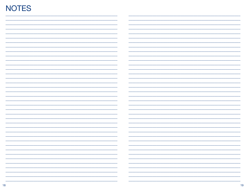### **NOTES**

| $\sim$<br>-                   |
|-------------------------------|
|                               |
|                               |
| $\overline{\phantom{0}}$<br>- |
|                               |
|                               |
| -                             |
|                               |
|                               |